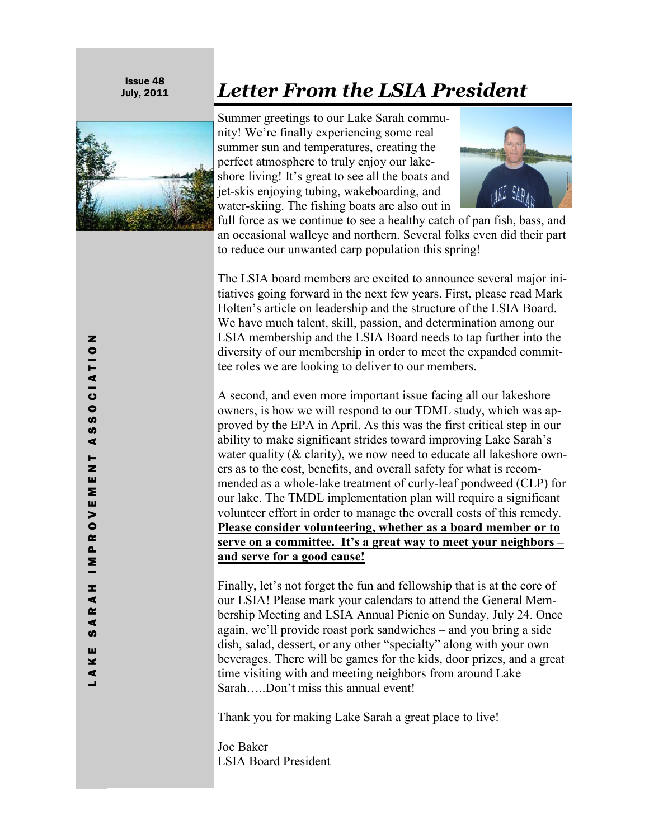Issue 48



## July, 2011 *Letter From the LSIA President*

Summer greetings to our Lake Sarah community! We're finally experiencing some real summer sun and temperatures, creating the perfect atmosphere to truly enjoy our lakeshore living! It's great to see all the boats and jet-skis enjoying tubing, wakeboarding, and water-skiing. The fishing boats are also out in



full force as we continue to see a healthy catch of pan fish, bass, and an occasional walleye and northern. Several folks even did their part to reduce our unwanted carp population this spring!

The LSIA board members are excited to announce several major initiatives going forward in the next few years. First, please read Mark Holten's article on leadership and the structure of the LSIA Board. We have much talent, skill, passion, and determination among our LSIA membership and the LSIA Board needs to tap further into the diversity of our membership in order to meet the expanded committee roles we are looking to deliver to our members.

A second, and even more important issue facing all our lakeshore owners, is how we will respond to our TDML study, which was approved by the EPA in April. As this was the first critical step in our ability to make significant strides toward improving Lake Sarah's water quality ( $&$  clarity), we now need to educate all lakeshore owners as to the cost, benefits, and overall safety for what is recommended as a whole-lake treatment of curly-leaf pondweed (CLP) for our lake. The TMDL implementation plan will require a significant volunteer effort in order to manage the overall costs of this remedy. **Please consider volunteering, whether as a board member or to serve on a committee. It's a great way to meet your neighbors – and serve for a good cause!**

Finally, let's not forget the fun and fellowship that is at the core of our LSIA! Please mark your calendars to attend the General Membership Meeting and LSIA Annual Picnic on Sunday, July 24. Once again, we'll provide roast pork sandwiches – and you bring a side dish, salad, dessert, or any other "specialty" along with your own beverages. There will be games for the kids, door prizes, and a great time visiting with and meeting neighbors from around Lake Sarah…..Don't miss this annual event!

Thank you for making Lake Sarah a great place to live!

Joe Baker LSIA Board President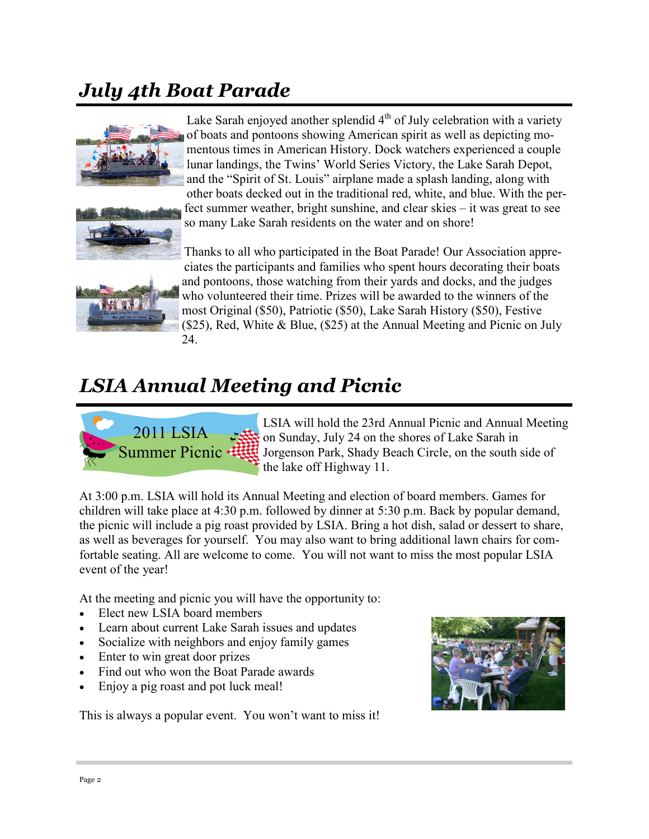## *July 4th Boat Parade*



Lake Sarah enjoyed another splendid  $4<sup>th</sup>$  of July celebration with a variety of boats and pontoons showing American spirit as well as depicting momentous times in American History. Dock watchers experienced a couple lunar landings, the Twins' World Series Victory, the Lake Sarah Depot, and the "Spirit of St. Louis" airplane made a splash landing, along with other boats decked out in the traditional red, white, and blue. With the per-





fect summer weather, bright sunshine, and clear skies – it was great to see so many Lake Sarah residents on the water and on shore!

Thanks to all who participated in the Boat Parade! Our Association appreciates the participants and families who spent hours decorating their boats and pontoons, those watching from their yards and docks, and the judges who volunteered their time. Prizes will be awarded to the winners of the most Original (\$50), Patriotic (\$50), Lake Sarah History (\$50), Festive (\$25), Red, White & Blue, (\$25) at the Annual Meeting and Picnic on July 24.

## *LSIA Annual Meeting and Picnic*



LSIA will hold the 23rd Annual Picnic and Annual Meeting on Sunday, July 24 on the shores of Lake Sarah in Jorgenson Park, Shady Beach Circle, on the south side of the lake off Highway 11.

At 3:00 p.m. LSIA will hold its Annual Meeting and election of board members. Games for children will take place at 4:30 p.m. followed by dinner at 5:30 p.m. Back by popular demand, the picnic will include a pig roast provided by LSIA. Bring a hot dish, salad or dessert to share, as well as beverages for yourself. You may also want to bring additional lawn chairs for comfortable seating. All are welcome to come. You will not want to miss the most popular LSIA event of the year!

At the meeting and picnic you will have the opportunity to:

- Elect new LSIA board members
- Learn about current Lake Sarah issues and updates
- Socialize with neighbors and enjoy family games
- Enter to win great door prizes
- Find out who won the Boat Parade awards
- Enjoy a pig roast and pot luck meal!

This is always a popular event. You won't want to miss it!

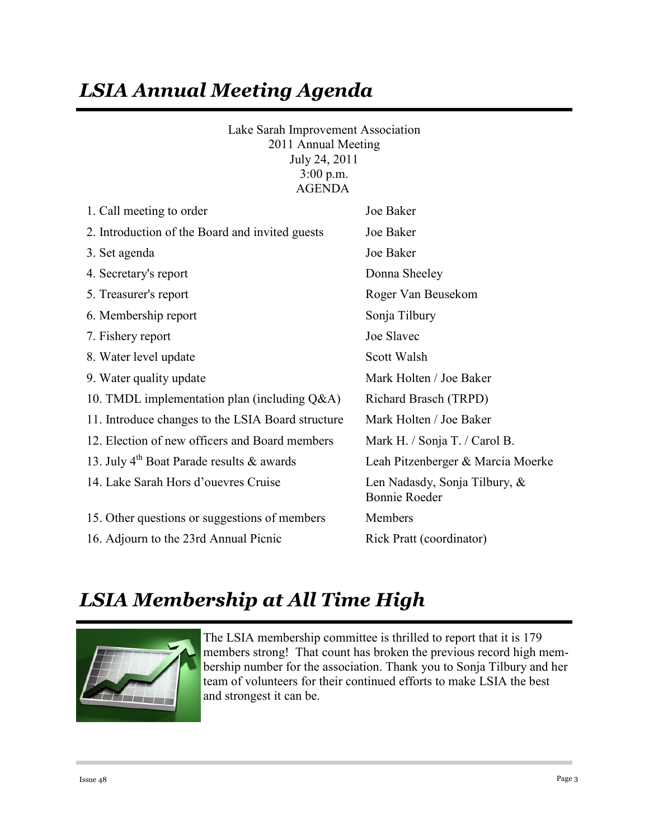## *LSIA Annual Meeting Agenda*

Lake Sarah Improvement Association 2011 Annual Meeting July 24, 2011 3:00 p.m. AGENDA

| 1. Call meeting to order                              | Joe Baker                                             |  |
|-------------------------------------------------------|-------------------------------------------------------|--|
| 2. Introduction of the Board and invited guests       | Joe Baker                                             |  |
| 3. Set agenda                                         | Joe Baker                                             |  |
| 4. Secretary's report                                 | Donna Sheeley                                         |  |
| 5. Treasurer's report                                 | Roger Van Beusekom                                    |  |
| 6. Membership report                                  | Sonja Tilbury                                         |  |
| 7. Fishery report                                     | Joe Slavec                                            |  |
| 8. Water level update                                 | Scott Walsh                                           |  |
| 9. Water quality update                               | Mark Holten / Joe Baker                               |  |
| 10. TMDL implementation plan (including $Q&A$ )       | Richard Brasch (TRPD)                                 |  |
| 11. Introduce changes to the LSIA Board structure     | Mark Holten / Joe Baker                               |  |
| 12. Election of new officers and Board members        | Mark H. / Sonja T. / Carol B.                         |  |
| 13. July 4 <sup>th</sup> Boat Parade results & awards | Leah Pitzenberger & Marcia Moerke                     |  |
| 14. Lake Sarah Hors d'ouevres Cruise                  | Len Nadasdy, Sonja Tilbury, &<br><b>Bonnie Roeder</b> |  |
| 15. Other questions or suggestions of members         | Members                                               |  |
| 16. Adjourn to the 23rd Annual Picnic                 | Rick Pratt (coordinator)                              |  |

## *LSIA Membership at All Time High*



The LSIA membership committee is thrilled to report that it is 179 members strong! That count has broken the previous record high membership number for the association. Thank you to Sonja Tilbury and her team of volunteers for their continued efforts to make LSIA the best and strongest it can be.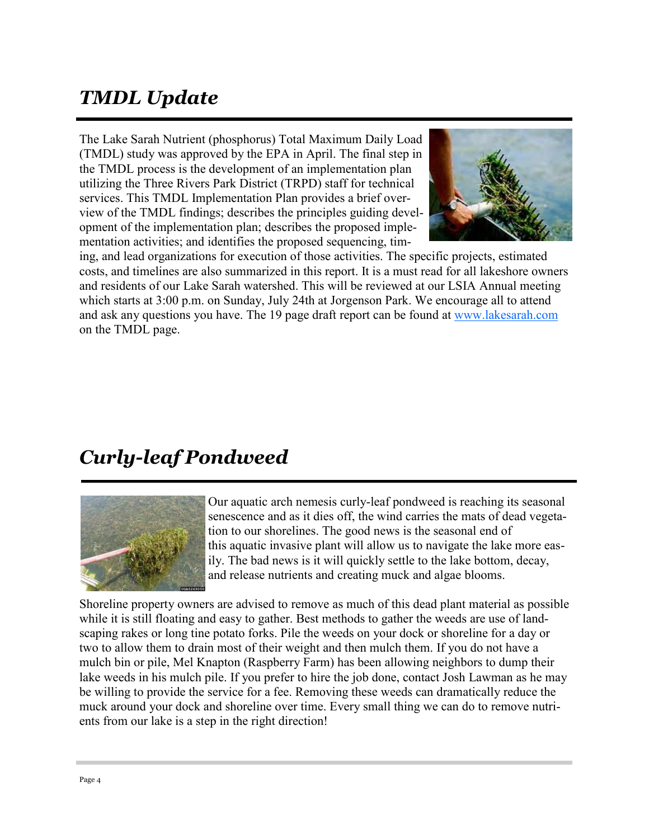## *TMDL Update*

The Lake Sarah Nutrient (phosphorus) Total Maximum Daily Load (TMDL) study was approved by the EPA in April. The final step in the TMDL process is the development of an implementation plan utilizing the Three Rivers Park District (TRPD) staff for technical services. This TMDL Implementation Plan provides a brief overview of the TMDL findings; describes the principles guiding development of the implementation plan; describes the proposed implementation activities; and identifies the proposed sequencing, tim-



ing, and lead organizations for execution of those activities. The specific projects, estimated costs, and timelines are also summarized in this report. It is a must read for all lakeshore owners and residents of our Lake Sarah watershed. This will be reviewed at our LSIA Annual meeting which starts at 3:00 p.m. on Sunday, July 24th at Jorgenson Park. We encourage all to attend and ask any questions you have. The 19 page draft report can be found at www.lakesarah.com on the TMDL page.

### *Curly-leaf Pondweed*



Our aquatic arch nemesis curly-leaf pondweed is reaching its seasonal senescence and as it dies off, the wind carries the mats of dead vegetation to our shorelines. The good news is the seasonal end of this aquatic invasive plant will allow us to navigate the lake more easily. The bad news is it will quickly settle to the lake bottom, decay, and release nutrients and creating muck and algae blooms.

Shoreline property owners are advised to remove as much of this dead plant material as possible while it is still floating and easy to gather. Best methods to gather the weeds are use of landscaping rakes or long tine potato forks. Pile the weeds on your dock or shoreline for a day or two to allow them to drain most of their weight and then mulch them. If you do not have a mulch bin or pile, Mel Knapton (Raspberry Farm) has been allowing neighbors to dump their lake weeds in his mulch pile. If you prefer to hire the job done, contact Josh Lawman as he may be willing to provide the service for a fee. Removing these weeds can dramatically reduce the muck around your dock and shoreline over time. Every small thing we can do to remove nutrients from our lake is a step in the right direction!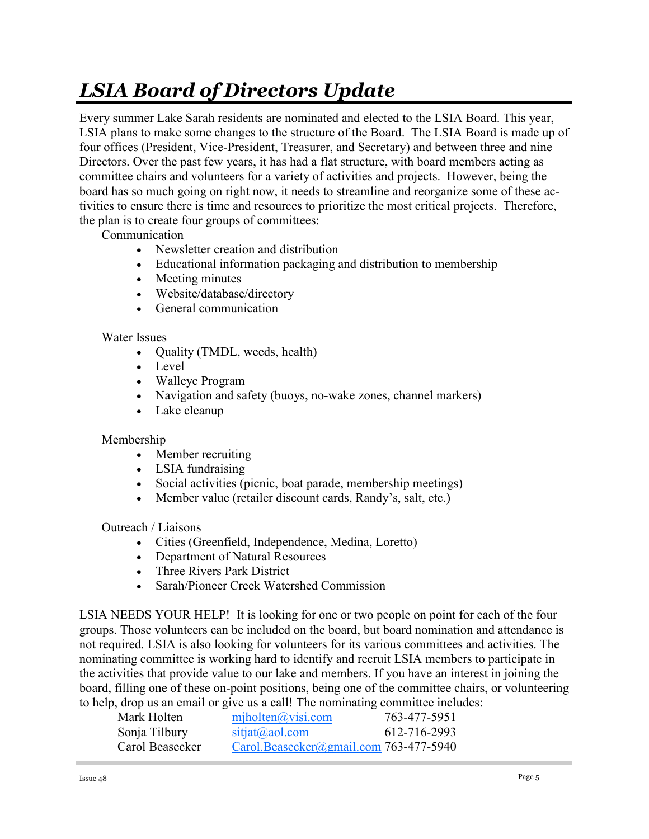# *LSIA Board of Directors Update*

Every summer Lake Sarah residents are nominated and elected to the LSIA Board. This year, LSIA plans to make some changes to the structure of the Board. The LSIA Board is made up of four offices (President, Vice-President, Treasurer, and Secretary) and between three and nine Directors. Over the past few years, it has had a flat structure, with board members acting as committee chairs and volunteers for a variety of activities and projects. However, being the board has so much going on right now, it needs to streamline and reorganize some of these activities to ensure there is time and resources to prioritize the most critical projects. Therefore, the plan is to create four groups of committees:

Communication

- Newsletter creation and distribution
- Educational information packaging and distribution to membership
- Meeting minutes
- Website/database/directory
- General communication

#### Water Issues

- Quality (TMDL, weeds, health)
- Level
- Walleye Program
- Navigation and safety (buoys, no-wake zones, channel markers)
- Lake cleanup

#### Membership

- Member recruiting
- LSIA fundraising
- Social activities (picnic, boat parade, membership meetings)
- Member value (retailer discount cards, Randy's, salt, etc.)

Outreach / Liaisons

- Cities (Greenfield, Independence, Medina, Loretto)
- Department of Natural Resources
- Three Rivers Park District
- Sarah/Pioneer Creek Watershed Commission

LSIA NEEDS YOUR HELP! It is looking for one or two people on point for each of the four groups. Those volunteers can be included on the board, but board nomination and attendance is not required. LSIA is also looking for volunteers for its various committees and activities. The nominating committee is working hard to identify and recruit LSIA members to participate in the activities that provide value to our lake and members. If you have an interest in joining the board, filling one of these on-point positions, being one of the committee chairs, or volunteering to help, drop us an email or give us a call! The nominating committee includes:

| Mark Holten     | miholten@visi.com                               | 763-477-5951 |
|-----------------|-------------------------------------------------|--------------|
| Sonja Tilbury   | $sit$ <sub>j</sub> at $(a)$ <sub>ao</sub> l.com | 612-716-2993 |
| Carol Beasecker | Carol.Beasecker@gmail.com 763-477-5940          |              |